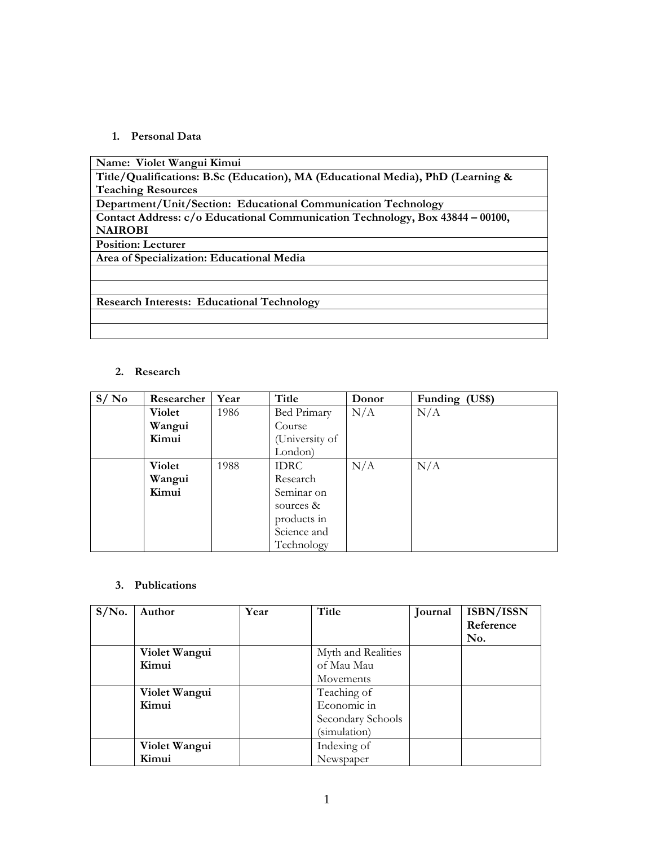### **1. Personal Data**

| Name: Violet Wangui Kimui                                                       |
|---------------------------------------------------------------------------------|
| Title/Qualifications: B.Sc (Education), MA (Educational Media), PhD (Learning & |
| <b>Teaching Resources</b>                                                       |
| Department/Unit/Section: Educational Communication Technology                   |
| Contact Address: c/o Educational Communication Technology, Box 43844 - 00100,   |
| <b>NAIROBI</b>                                                                  |
| <b>Position: Lecturer</b>                                                       |
| Area of Specialization: Educational Media                                       |
|                                                                                 |
|                                                                                 |
| <b>Research Interests: Educational Technology</b>                               |
|                                                                                 |
|                                                                                 |

## **2. Research**

| S/No | Researcher    | Year | Title          | Donor | Funding (US\$) |
|------|---------------|------|----------------|-------|----------------|
|      | <b>Violet</b> | 1986 | Bed Primary    | N/A   | N/A            |
|      | Wangui        |      | Course         |       |                |
|      | Kimui         |      | (University of |       |                |
|      |               |      | London)        |       |                |
|      | Violet        | 1988 | <b>IDRC</b>    | N/A   | N/A            |
|      | Wangui        |      | Research       |       |                |
|      | Kimui         |      | Seminar on     |       |                |
|      |               |      | sources $&$    |       |                |
|      |               |      | products in    |       |                |
|      |               |      | Science and    |       |                |
|      |               |      | Technology     |       |                |

#### **3. Publications**

| $S/N0$ . | Author        | Year | Title              | Journal | ISBN/ISSN |
|----------|---------------|------|--------------------|---------|-----------|
|          |               |      |                    |         | Reference |
|          |               |      |                    |         | No.       |
|          | Violet Wangui |      | Myth and Realities |         |           |
|          | Kimui         |      | of Mau Mau         |         |           |
|          |               |      | Movements          |         |           |
|          | Violet Wangui |      | Teaching of        |         |           |
|          | Kimui         |      | Economic in        |         |           |
|          |               |      | Secondary Schools  |         |           |
|          |               |      | (simulation)       |         |           |
|          | Violet Wangui |      | Indexing of        |         |           |
|          | Kimui         |      | Newspaper          |         |           |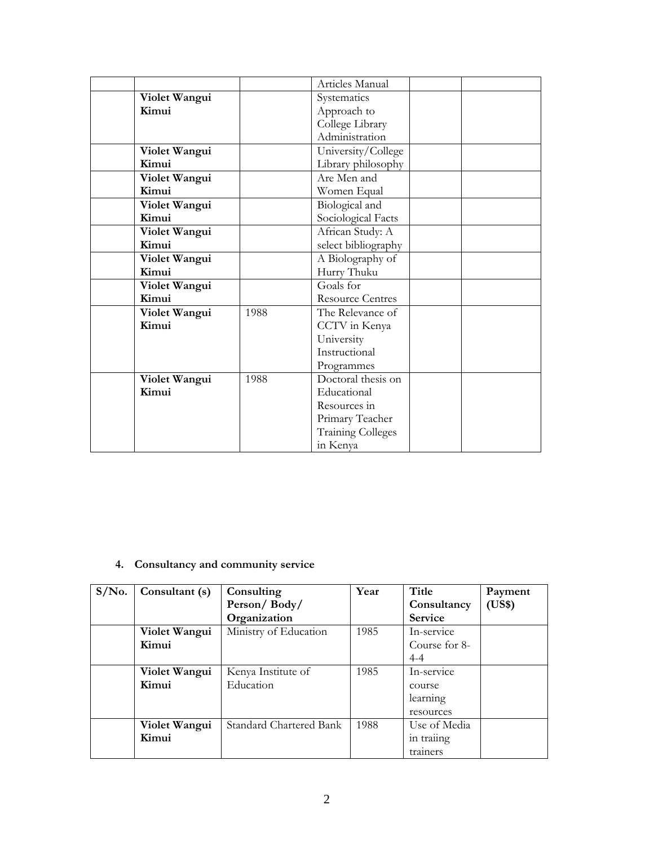|               |      | Articles Manual          |  |
|---------------|------|--------------------------|--|
| Violet Wangui |      | Systematics              |  |
| Kimui         |      | Approach to              |  |
|               |      | College Library          |  |
|               |      | Administration           |  |
| Violet Wangui |      | University/College       |  |
| Kimui         |      | Library philosophy       |  |
| Violet Wangui |      | Are Men and              |  |
| Kimui         |      | Women Equal              |  |
| Violet Wangui |      | Biological and           |  |
| Kimui         |      | Sociological Facts       |  |
| Violet Wangui |      | African Study: A         |  |
| Kimui         |      | select bibliography      |  |
| Violet Wangui |      | A Biolography of         |  |
| Kimui         |      | Hurry Thuku              |  |
| Violet Wangui |      | Goals for                |  |
| Kimui         |      | <b>Resource Centres</b>  |  |
| Violet Wangui | 1988 | The Relevance of         |  |
| Kimui         |      | CCTV in Kenya            |  |
|               |      | University               |  |
|               |      | Instructional            |  |
|               |      | Programmes               |  |
| Violet Wangui | 1988 | Doctoral thesis on       |  |
| Kimui         |      | Educational              |  |
|               |      | Resources in             |  |
|               |      | Primary Teacher          |  |
|               |      | <b>Training Colleges</b> |  |
|               |      | in Kenya                 |  |

**4. Consultancy and community service** 

| $S/N0$ . | Consultant (s) | Consulting              | Year | Title          | Payment |
|----------|----------------|-------------------------|------|----------------|---------|
|          |                | Person/Body/            |      | Consultancy    | (US\$)  |
|          |                | Organization            |      | <b>Service</b> |         |
|          | Violet Wangui  | Ministry of Education   | 1985 | In-service     |         |
|          | Kimui          |                         |      | Course for 8-  |         |
|          |                |                         |      | $4 - 4$        |         |
|          | Violet Wangui  | Kenya Institute of      | 1985 | In-service     |         |
|          | Kimui          | Education               |      | course         |         |
|          |                |                         |      | learning       |         |
|          |                |                         |      | resources      |         |
|          | Violet Wangui  | Standard Chartered Bank | 1988 | Use of Media   |         |
|          | Kimui          |                         |      | in traiing     |         |
|          |                |                         |      | trainers       |         |